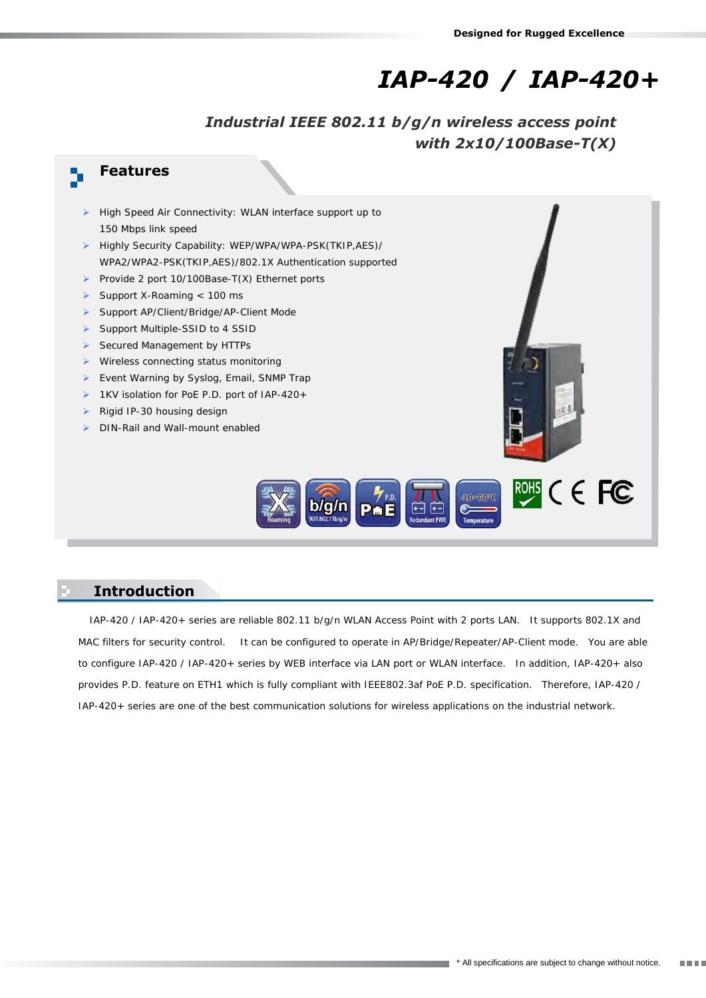# *IAP-420 / IAP-420+*

*Industrial IEEE 802.11 b/g/n wireless access point with 2x10/100Base-T(X)*

## **Features**

- High Speed Air Connectivity: WLAN interface support up to 150 Mbps link speed
- Highly Security Capability: WEP/WPA/WPA-PSK(TKIP,AES)/ WPA2/WPA2-PSK(TKIP,AES)/802.1X Authentication supported
- Provide 2 port 10/100Base-T(X) Ethernet ports
- Support X-Roaming  $< 100$  ms
- Support AP/Client/Bridge/AP-Client Mode
- Support Multiple-SSID to 4 SSID
- Secured Management by HTTPs
- $\triangleright$  Wireless connecting status monitoring
- Event Warning by Syslog, Email, SNMP Trap
- ▶ 1KV isolation for PoE P.D. port of IAP-420+
- $\triangleright$  Rigid IP-30 housing design
- DIN-Rail and Wall-mount enabled





#### **Introduction**

IAP-420 / IAP-420+ series are reliable 802.11 b/g/n WLAN Access Point with 2 ports LAN. It supports 802.1X and MAC filters for security control. It can be configured to operate in AP/Bridge/Repeater/AP-Client mode. You are able to configure IAP-420 / IAP-420+ series by WEB interface via LAN port or WLAN interface. In addition, IAP-420+ also provides P.D. feature on ETH1 which is fully compliant with IEEE802.3af PoE P.D. specification. Therefore, IAP-420 / IAP-420+ series are one of the best communication solutions for wireless applications on the industrial network.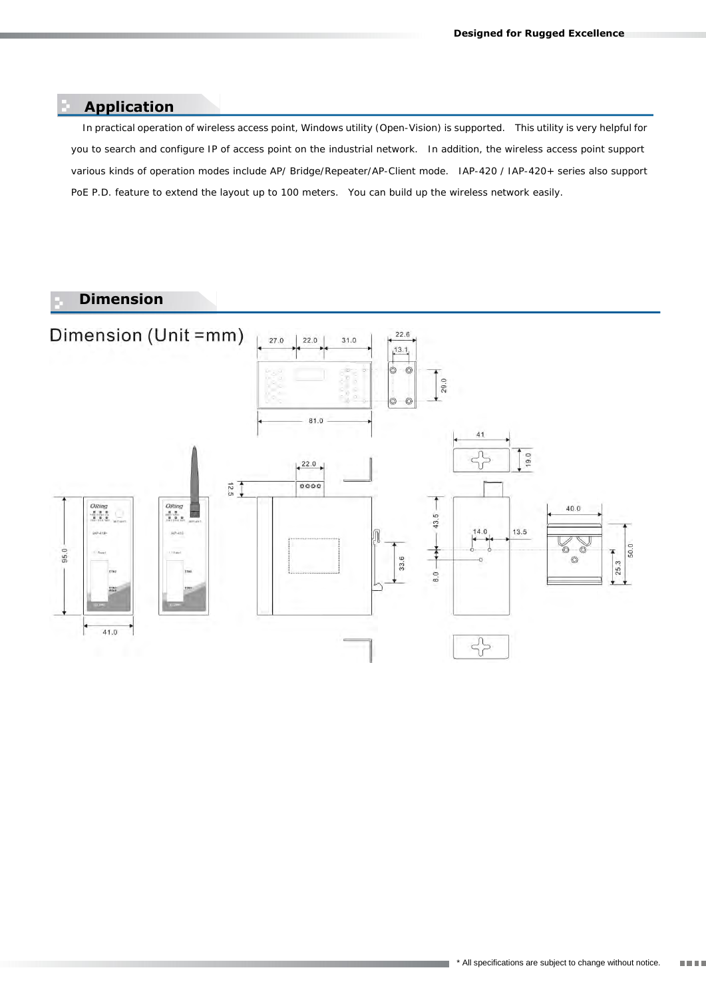#### **Application**

In practical operation of wireless access point, Windows utility (Open-Vision) is supported. This utility is very helpful for you to search and configure IP of access point on the industrial network. In addition, the wireless access point support various kinds of operation modes include AP/ Bridge/Repeater/AP-Client mode. IAP-420 / IAP-420+ series also support PoE P.D. feature to extend the layout up to 100 meters. You can build up the wireless network easily.

### **Dimension**

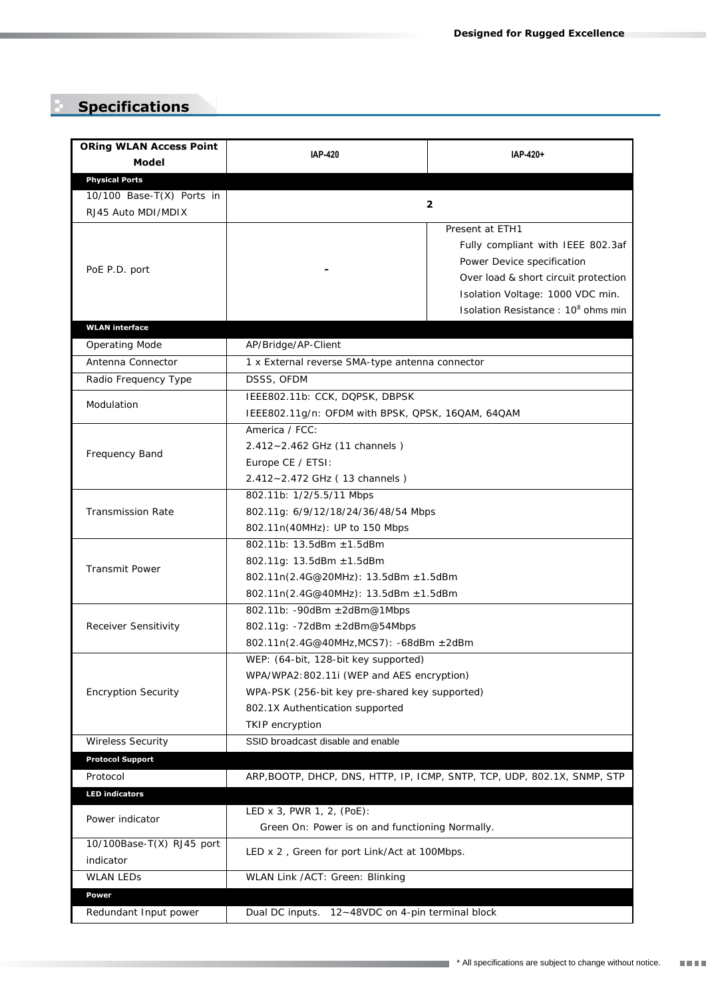## **Specifications**

| <b>ORing WLAN Access Point</b>                  | <b>IAP-420</b>                                                                                                                                                                             | IAP-420+                                                                                                                                                                                             |
|-------------------------------------------------|--------------------------------------------------------------------------------------------------------------------------------------------------------------------------------------------|------------------------------------------------------------------------------------------------------------------------------------------------------------------------------------------------------|
| Model                                           |                                                                                                                                                                                            |                                                                                                                                                                                                      |
| <b>Physical Ports</b>                           |                                                                                                                                                                                            |                                                                                                                                                                                                      |
| 10/100 Base-T(X) Ports in<br>RJ45 Auto MDI/MDIX | $\mathbf{2}$                                                                                                                                                                               |                                                                                                                                                                                                      |
| PoE P.D. port                                   |                                                                                                                                                                                            | Present at ETH1<br>Fully compliant with IEEE 802.3af<br>Power Device specification<br>Over load & short circuit protection<br>Isolation Voltage: 1000 VDC min.<br>Isolation Resistance: 108 ohms min |
| <b>WLAN</b> interface                           |                                                                                                                                                                                            |                                                                                                                                                                                                      |
| Operating Mode                                  | AP/Bridge/AP-Client                                                                                                                                                                        |                                                                                                                                                                                                      |
| Antenna Connector                               | 1 x External reverse SMA-type antenna connector                                                                                                                                            |                                                                                                                                                                                                      |
| Radio Frequency Type                            | DSSS, OFDM                                                                                                                                                                                 |                                                                                                                                                                                                      |
| Modulation                                      | IEEE802.11b: CCK, DQPSK, DBPSK<br>IEEE802.11g/n: OFDM with BPSK, QPSK, 16QAM, 64QAM                                                                                                        |                                                                                                                                                                                                      |
| Frequency Band                                  | America / FCC:<br>2.412~2.462 GHz (11 channels)<br>Europe CE / ETSI:<br>2.412~2.472 GHz (13 channels)                                                                                      |                                                                                                                                                                                                      |
| <b>Transmission Rate</b>                        | 802.11b: 1/2/5.5/11 Mbps<br>802.11g: 6/9/12/18/24/36/48/54 Mbps<br>802.11n(40MHz): UP to 150 Mbps                                                                                          |                                                                                                                                                                                                      |
| Transmit Power                                  | 802.11b: 13.5dBm ± 1.5dBm<br>802.11g: 13.5dBm ± 1.5dBm<br>802.11n(2.4G@20MHz): 13.5dBm ± 1.5dBm<br>802.11n(2.4G@40MHz): 13.5dBm ± 1.5dBm                                                   |                                                                                                                                                                                                      |
| Receiver Sensitivity                            | 802.11b: - 90dBm ± 2dBm@1Mbps<br>802.11g: -72dBm ± 2dBm@54Mbps<br>802.11n(2.4G@40MHz,MCS7): -68dBm ± 2dBm                                                                                  |                                                                                                                                                                                                      |
| <b>Encryption Security</b>                      | WEP: (64-bit, 128-bit key supported)<br>WPA/WPA2: 802.11i (WEP and AES encryption)<br>WPA-PSK (256-bit key pre-shared key supported)<br>802.1X Authentication supported<br>TKIP encryption |                                                                                                                                                                                                      |
| Wireless Security                               | SSID broadcast disable and enable                                                                                                                                                          |                                                                                                                                                                                                      |
| <b>Protocol Support</b>                         |                                                                                                                                                                                            |                                                                                                                                                                                                      |
| Protocol                                        |                                                                                                                                                                                            | ARP, BOOTP, DHCP, DNS, HTTP, IP, ICMP, SNTP, TCP, UDP, 802.1X, SNMP, STP                                                                                                                             |
| <b>LED indicators</b>                           |                                                                                                                                                                                            |                                                                                                                                                                                                      |
| Power indicator                                 | LED $\times$ 3, PWR 1, 2, (PoE):<br>Green On: Power is on and functioning Normally.                                                                                                        |                                                                                                                                                                                                      |
| 10/100Base-T(X) RJ45 port<br>indicator          | LED x 2, Green for port Link/Act at 100Mbps.                                                                                                                                               |                                                                                                                                                                                                      |
| <b>WLAN LEDS</b>                                | WLAN Link /ACT: Green: Blinking                                                                                                                                                            |                                                                                                                                                                                                      |
| Power<br>Redundant Input power                  | Dual DC inputs. 12~48VDC on 4-pin terminal block                                                                                                                                           |                                                                                                                                                                                                      |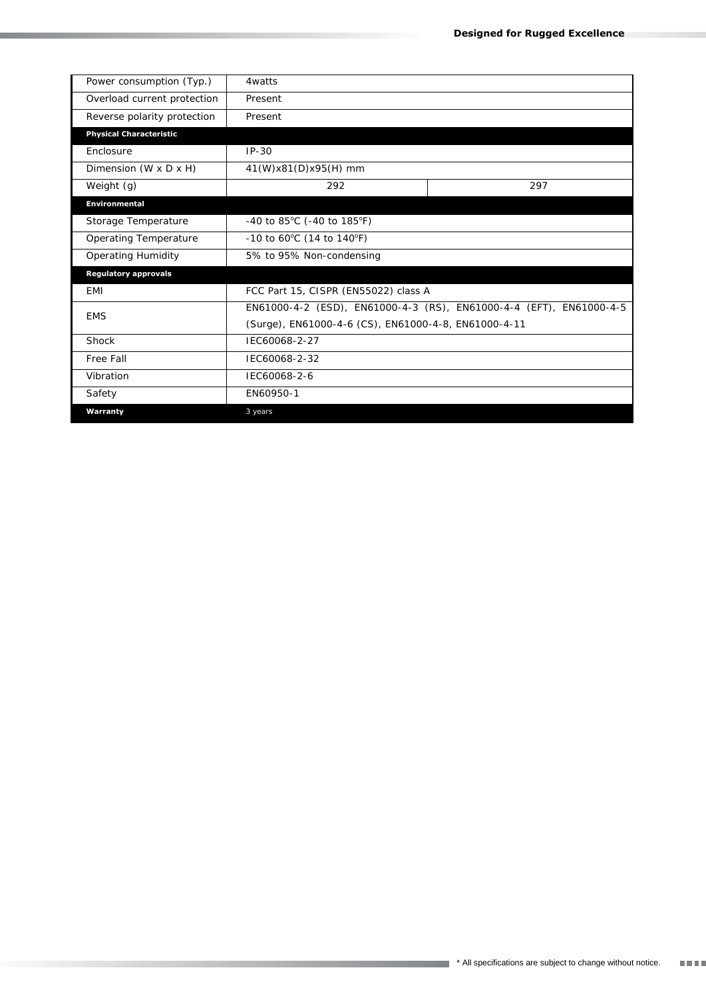| Power consumption (Typ.)          | 4watts                                                              |     |
|-----------------------------------|---------------------------------------------------------------------|-----|
| Overload current protection       | Present                                                             |     |
| Reverse polarity protection       | Present                                                             |     |
| <b>Physical Characteristic</b>    |                                                                     |     |
| Enclosure                         | $IP-30$                                                             |     |
| Dimension $(W \times D \times H)$ | 41(W)x81(D)x95(H) mm                                                |     |
| Weight (g)                        | 292                                                                 | 297 |
| <b>Environmental</b>              |                                                                     |     |
| Storage Temperature               | -40 to 85°C (-40 to 185°F)                                          |     |
| Operating Temperature             | -10 to 60°C (14 to 140°F)                                           |     |
| Operating Humidity                | 5% to 95% Non-condensing                                            |     |
| <b>Regulatory approvals</b>       |                                                                     |     |
| <b>EMI</b>                        | FCC Part 15, CISPR (EN55022) class A                                |     |
| <b>FMS</b>                        | EN61000-4-2 (ESD), EN61000-4-3 (RS), EN61000-4-4 (EFT), EN61000-4-5 |     |
|                                   | (Surge), EN61000-4-6 (CS), EN61000-4-8, EN61000-4-11                |     |
| Shock                             | IEC60068-2-27                                                       |     |
| Free Fall                         | IEC60068-2-32                                                       |     |
| Vibration                         | IEC60068-2-6                                                        |     |
| Safety                            | EN60950-1                                                           |     |
| Warranty                          | 3 years                                                             |     |